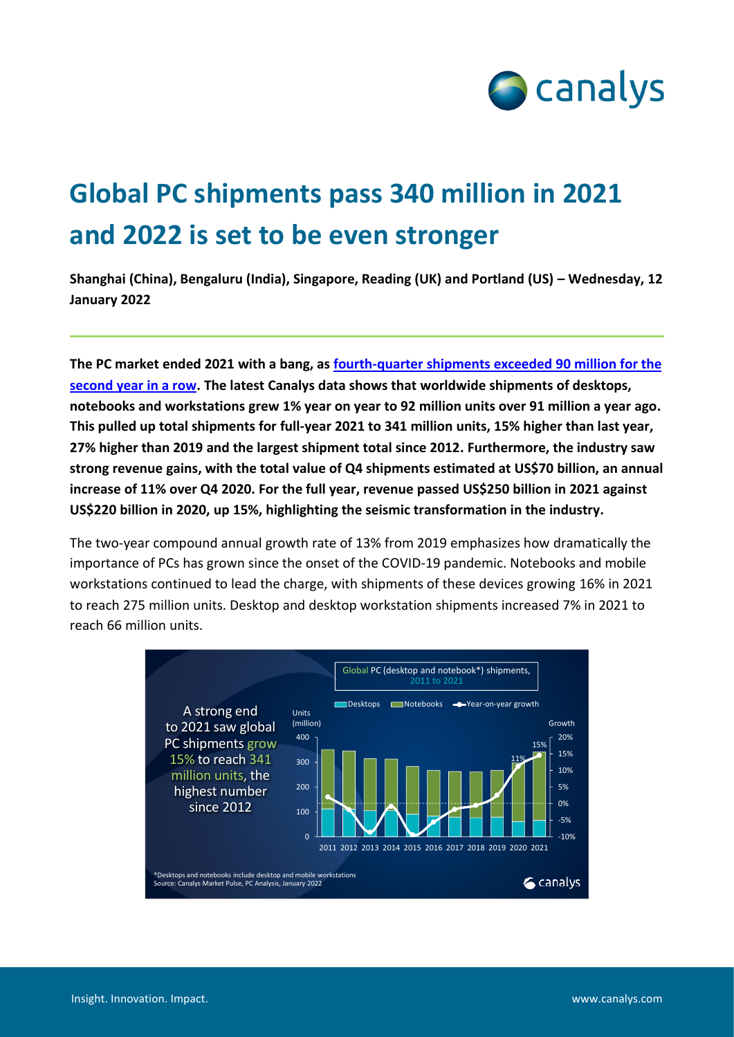

## **Global PC shipments pass 340 million in 2021 and 2022 is set to be even stronger**

**Shanghai (China), Bengaluru (India), Singapore, Reading (UK) and Portland (US) – Wednesday, 12 January 2022**

**The PC market ended 2021 with a bang, as fourth-quarter [shipments exceeded 90 million](http://canalys.com/newsroom/global-pc-market-Q4-2021) for the [second year in a row.](http://canalys.com/newsroom/global-pc-market-Q4-2021) The latest Canalys data shows that worldwide shipments of desktops, notebooks and workstations grew 1% year on year to 92 million units over 91 million a year ago. This pulled up total shipments for full-year 2021 to 341 million units, 15% higher than last year, 27% higher than 2019 and the largest shipment total since 2012. Furthermore, the industry saw strong revenue gains, with the total value of Q4 shipments estimated at US\$70 billion, an annual increase of 11% over Q4 2020. For the full year, revenue passed US\$250 billion in 2021 against US\$220 billion in 2020, up 15%, highlighting the seismic transformation in the industry.**

The two-year compound annual growth rate of 13% from 2019 emphasizes how dramatically the importance of PCs has grown since the onset of the COVID-19 pandemic. Notebooks and mobile workstations continued to lead the charge, with shipments of these devices growing 16% in 2021 to reach 275 million units. Desktop and desktop workstation shipments increased 7% in 2021 to reach 66 million units.

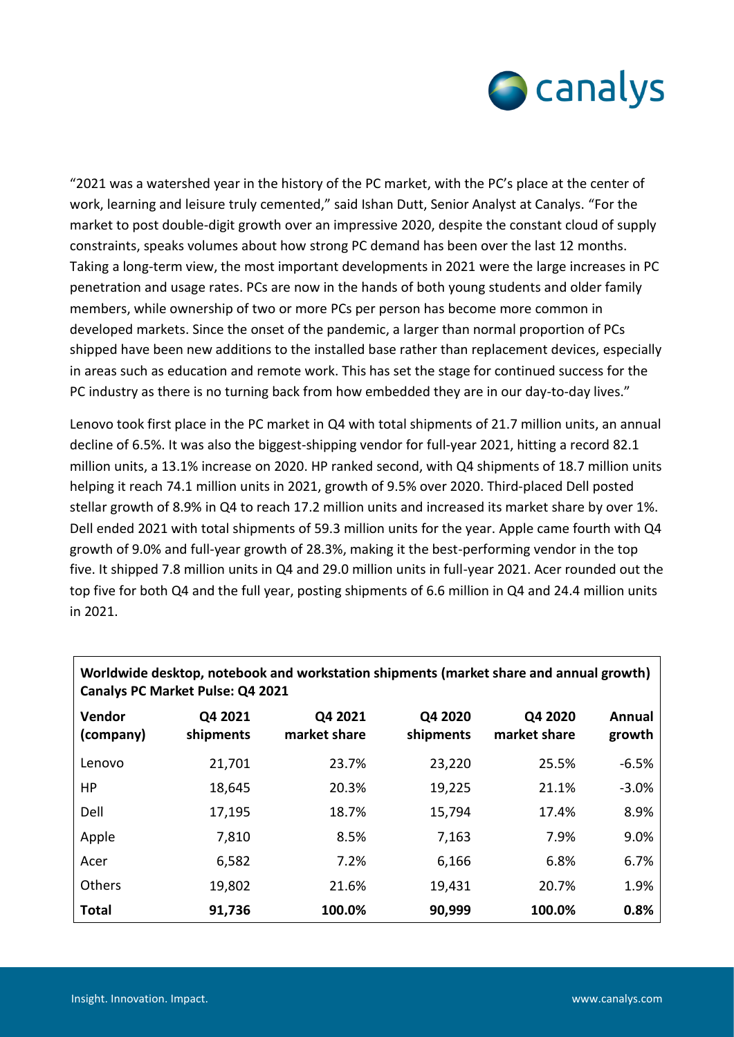

"2021 was a watershed year in the history of the PC market, with the PC's place at the center of work, learning and leisure truly cemented," said Ishan Dutt, Senior Analyst at Canalys. "For the market to post double-digit growth over an impressive 2020, despite the constant cloud of supply constraints, speaks volumes about how strong PC demand has been over the last 12 months. Taking a long-term view, the most important developments in 2021 were the large increases in PC penetration and usage rates. PCs are now in the hands of both young students and older family members, while ownership of two or more PCs per person has become more common in developed markets. Since the onset of the pandemic, a larger than normal proportion of PCs shipped have been new additions to the installed base rather than replacement devices, especially in areas such as education and remote work. This has set the stage for continued success for the PC industry as there is no turning back from how embedded they are in our day-to-day lives."

Lenovo took first place in the PC market in Q4 with total shipments of 21.7 million units, an annual decline of 6.5%. It was also the biggest-shipping vendor for full-year 2021, hitting a record 82.1 million units, a 13.1% increase on 2020. HP ranked second, with Q4 shipments of 18.7 million units helping it reach 74.1 million units in 2021, growth of 9.5% over 2020. Third-placed Dell posted stellar growth of 8.9% in Q4 to reach 17.2 million units and increased its market share by over 1%. Dell ended 2021 with total shipments of 59.3 million units for the year. Apple came fourth with Q4 growth of 9.0% and full-year growth of 28.3%, making it the best-performing vendor in the top five. It shipped 7.8 million units in Q4 and 29.0 million units in full-year 2021. Acer rounded out the top five for both Q4 and the full year, posting shipments of 6.6 million in Q4 and 24.4 million units in 2021.

| Worldwide desktop, notebook and workstation shipments (market share and annual growth)<br>Canalys PC Market Pulse: Q4 2021 |                      |                         |                      |                         |                  |  |  |  |
|----------------------------------------------------------------------------------------------------------------------------|----------------------|-------------------------|----------------------|-------------------------|------------------|--|--|--|
| Vendor<br>(company)                                                                                                        | Q4 2021<br>shipments | Q4 2021<br>market share | Q4 2020<br>shipments | Q4 2020<br>market share | Annual<br>growth |  |  |  |
| Lenovo                                                                                                                     | 21,701               | 23.7%                   | 23,220               | 25.5%                   | $-6.5%$          |  |  |  |
| HP                                                                                                                         | 18,645               | 20.3%                   | 19,225               | 21.1%                   | $-3.0%$          |  |  |  |
| Dell                                                                                                                       | 17,195               | 18.7%                   | 15,794               | 17.4%                   | 8.9%             |  |  |  |
| Apple                                                                                                                      | 7,810                | 8.5%                    | 7,163                | 7.9%                    | 9.0%             |  |  |  |
| Acer                                                                                                                       | 6,582                | 7.2%                    | 6,166                | 6.8%                    | 6.7%             |  |  |  |
| Others                                                                                                                     | 19,802               | 21.6%                   | 19,431               | 20.7%                   | 1.9%             |  |  |  |
| <b>Total</b>                                                                                                               | 91,736               | 100.0%                  | 90,999               | 100.0%                  | 0.8%             |  |  |  |

**Worldwide desktop, notebook and workstation shipments (market share and annual growth)**

Г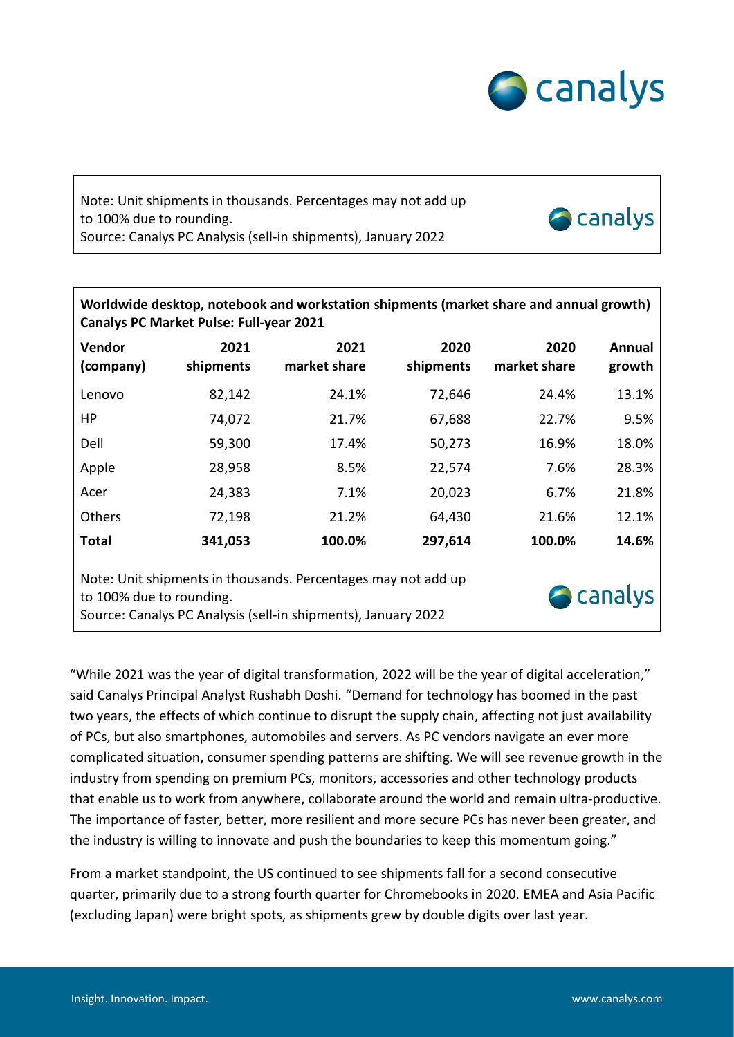

**Scanalys** 

## Note: Unit shipments in thousands. Percentages may not add up to 100% due to rounding. Source: Canalys PC Analysis (sell-in shipments), January 2022

| Worldwide desktop, notebook and workstation shipments (market share and annual growth)<br>Canalys PC Market Pulse: Full-year 2021                                              |                   |                      |                   |                      |                  |  |  |  |  |
|--------------------------------------------------------------------------------------------------------------------------------------------------------------------------------|-------------------|----------------------|-------------------|----------------------|------------------|--|--|--|--|
| Vendor<br>(company)                                                                                                                                                            | 2021<br>shipments | 2021<br>market share | 2020<br>shipments | 2020<br>market share | Annual<br>growth |  |  |  |  |
| Lenovo                                                                                                                                                                         | 82,142            | 24.1%                | 72,646            | 24.4%                | 13.1%            |  |  |  |  |
| НP                                                                                                                                                                             | 74,072            | 21.7%                | 67,688            | 22.7%                | 9.5%             |  |  |  |  |
| Dell                                                                                                                                                                           | 59,300            | 17.4%                | 50,273            | 16.9%                | 18.0%            |  |  |  |  |
| Apple                                                                                                                                                                          | 28,958            | 8.5%                 | 22,574            | 7.6%                 | 28.3%            |  |  |  |  |
| Acer                                                                                                                                                                           | 24,383            | 7.1%                 | 20,023            | 6.7%                 | 21.8%            |  |  |  |  |
| <b>Others</b>                                                                                                                                                                  | 72,198            | 21.2%                | 64,430            | 21.6%                | 12.1%            |  |  |  |  |
| <b>Total</b>                                                                                                                                                                   | 341,053           | 100.0%               | 297,614           | 100.0%               | 14.6%            |  |  |  |  |
| Note: Unit shipments in thousands. Percentages may not add up<br><b>A</b> canalys<br>to 100% due to rounding.<br>Source: Canalys PC Analysis (sell-in shipments), January 2022 |                   |                      |                   |                      |                  |  |  |  |  |

"While 2021 was the year of digital transformation, 2022 will be the year of digital acceleration," said Canalys Principal Analyst Rushabh Doshi. "Demand for technology has boomed in the past two years, the effects of which continue to disrupt the supply chain, affecting not just availability of PCs, but also smartphones, automobiles and servers. As PC vendors navigate an ever more complicated situation, consumer spending patterns are shifting. We will see revenue growth in the industry from spending on premium PCs, monitors, accessories and other technology products that enable us to work from anywhere, collaborate around the world and remain ultra-productive. The importance of faster, better, more resilient and more secure PCs has never been greater, and the industry is willing to innovate and push the boundaries to keep this momentum going."

From a market standpoint, the US continued to see shipments fall for a second consecutive quarter, primarily due to a strong fourth quarter for Chromebooks in 2020. EMEA and Asia Pacific (excluding Japan) were bright spots, as shipments grew by double digits over last year.